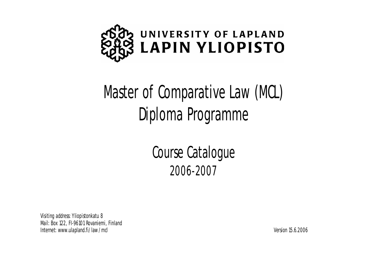

# Master of Comparative Law (MCL) Diploma Programme

Course Catalogue 2006-2007

Visiting address: Yliopistonkatu 8 Mail: Box 122, FI-96101 Rovaniemi, Finland Internet: [www.ulapland.fi/law](http://www.ulapland.fi/law) /mcl Version 15.6.2006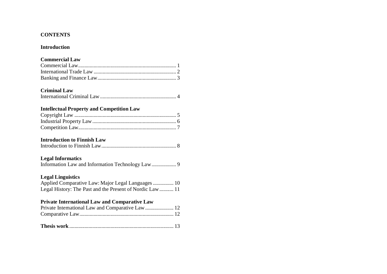# **CONTENTS**

# **Introduction**

# **Commercial Law**

# **Criminal Law**

| ____________________ |  |  |
|----------------------|--|--|
|                      |  |  |

# **Intellectual Property and Competition Law**

# **Introduction to Finnish Law**

|--|--|

# **Legal Informatics**

|--|--|

# **Legal Linguistics**

| Applied Comparative Law: Major Legal Languages  10        |  |
|-----------------------------------------------------------|--|
| Legal History: The Past and the Present of Nordic Law  11 |  |

# **Private International Law and Comparative Law**

| Private International Law and Comparative Law  12 |  |
|---------------------------------------------------|--|
|                                                   |  |
|                                                   |  |
|                                                   |  |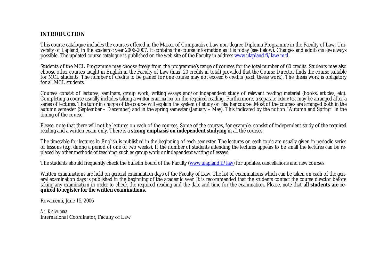# **INTRODUCTION**

This course catalogue includes the courses offered in the Master of Comparative Law non-degree Diploma Programme in the Faculty of Law, University of Lapland, in the academic year 2006-2007. It contains the course information as it is today (see below). Changes and additions are always possible. The updated course catalogue is published on the web site of the Faculty in address [www.ulapland.fi/law/mcl.](http://www.ulapland.fi/law/mcl.)

Students of the MCL Programme may choose freely from the programme's range of courses for the total number of 60 credits. Students may also choose other courses taught in English in the Faculty of Law (max. 20 credits in total) provided that the Course Director finds the course suitable for MCL students. The number of credits to be gained for one course may not exceed 6 credits (excl. thesis work). The thesis work is obligatory for all MCL students.

Courses consist of lectures, seminars, group work, writing essays and/or independent study of relevant reading material (books, articles, etc). Completing a course usually includes taking a *written examination* on the required reading. Furthermore, a separate *lecture test* may be arranged after a series of lectures. The tutor in charge of the course will explain the system of study on his/her course. Most of the courses are arranged both in the autumn semester (September – December) and in the spring semester (January – May). This indicated by the notion "Autumn and Spring" in the timing of the course.

Please, note that there will not be lectures on each of the courses. Some of the courses, for example, consist of independent study of the required reading and a written exam only. There is a **strong emphasis on independent studying** in all the courses.

The timetable for lectures in English is published in the beginning of each semester. The lectures on each topic are usually given in periodic series of lessons (e.g. during a period of one or two weeks). If the number of students attending the lectures appears to be small the lectures can be replaced by other methods of teaching, such as group work or independent writing of essays.

The students should frequently check the bulletin board of the Faculty ([www.ulapland.fi/law](http://www.ulapland.fi/law)) for updates, cancellations and new courses.

Written examinations are held on general examination days of the Faculty of Law. The list of examinations which can be taken on each of the general examination days is published in the beginning of the academic year. It is recommended that the students contact the course director before taking any examination in order to check the required reading and the date and time for the examination. Please, note that **all students are required to register for the written examinations**.

Rovaniemi, June 15, 2006

*Ari Koivumaa* International Coordinator, Faculty of Law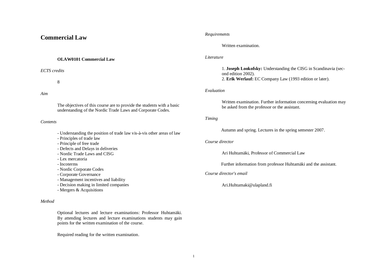# **Commercial Law**

# **OLAW0101 Commercial Law**

*ECTS credits*

8

# *Aim*

The objectives of this course are to provide the students with a basic understanding of the Nordic Trade Laws and Corporate Codes.

#### *Contents*

- Understanding the position of trade law vis-à-vis other areas of law
- Principles of trade law
- Principle of free trade
- Defects and Delays in deliveries
- Nordic Trade Laws and CISG
- Lex mercatoria
- Incoterms
- Nordic Corporate Codes
- Corporate Governance
- Management incentives and liability
- Decision making in limited companies
- Mergers & Acquisitions

## *Method*

Optional lectures and lecture examinations: Professor Huhtamäki. By attending lectures and lecture examinations students may gain points for the written examination of the course.

Required reading for the written examination.

#### *Requirements*

#### Written examination.

#### *Literature*

1. **Joseph Lookofsky:** Understanding the CISG in Scandinavia (second edition 2002). 2. **Erik Werlauf:** EC Company Law (1993 edition or later).

# *Evaluation*

Written examination. Further information concerning evaluation may be asked from the professor or the assistant.

# *Timing*

Autumn and spring. Lectures in the spring semester 2007.

## *Course director*

Ari Huhtamäki, Professor of Commercial Law

Further information from professor Huhtamäki and the assistant.

## *Course director's email*

[Ari.Huhtamaki@ulapland.fi](mailto:Ari.Huhtamaki@ulapland.fi)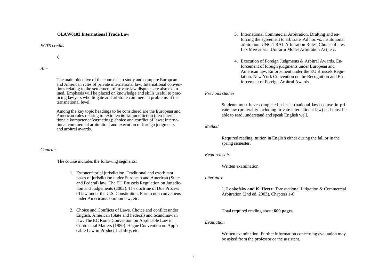#### **OLAW0102 International Trade Law**

*ECTS credits*

6

*Aim*

The main objective of the course is to study and compare European and American rules of private international law. International conventions relating to the settlement of private law disputes are also examined. Emphasis will be placed on knowledge and skills useful to practicing lawyers who litigate and arbitrate commercial problems at the transnational level.

Among the key topic headings to be considered are the European and American rules relating to: extraterritorial jurisdiction (den internationale kompetence/værneting); choice and conflict of laws; international commercial arbitration; and execution of foreign judgments and arbitral awards.

#### *Contents*

The course includes the following segments:

- 1. Extraterritorial jurisdiction. Traditional and exorbitant bases of jurisdiction under European and American (State and Federal) law. The EU Brussels Regulation on Jurisdiction and Judgements (2002). The doctrine of Due Process of law under the U.S. Constitution. Forum non conveniens under American/Common law, etc.
- 2. Choice and Conflicts of Laws. Choice and conflict under English, American (State and Federal) and Scandinavian law. The EC Rome Convention on Applicable Law in Contractual Matters (1980). Hague Convention on Applicable Law in Product Liability, etc.
- 3. International Commercial Arbitration. Drafting and enforcing the agreement to arbitrate. Ad hoc vs. institutional arbitration. UNCITRAL Arbitration Rules. Choice of law. Lex Mercatoria. Uniform Model Arbitration Act, etc.
- 4. Execution of Foreign Judgments & Arbitral Awards. Enforcement of foreign judgments under European and American law. Enforcement under the EU Brussels Regulation. New York Convention on the Recognition and Enforcement of Foreign Arbitral Awards.

#### *Previous studies*

Students must have completed a basic (national law) course in private law (preferably including private international law) and must be able to read, understand and speak English well.

#### *Method*

Required reading, tuition in English either during the fall or in the spring semester.

#### *Requirements*

Written examination

#### *Literature*

1. **Lookofsky and K. Hertz:** Transnational Litigation & Commercial Arbitration (2nd ed. 2003), Chapters 1-6.

Total required reading about **600 pages**.

## *Evaluation*

Written examination. Further information concerning evaluation may be asked from the professor or the assistant.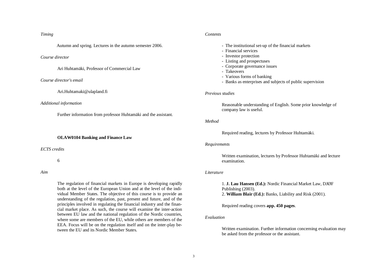# *Timing*

Autumn and spring. Lectures in the autumn semester 2006.

#### *Course director*

Ari Huhtamäki, Professor of Commercial Law

#### *Course director's email*

[Ari.Huhtamaki@ulapland.fi](mailto:Ari.Huhtamaki@ulapland.fi)

#### *Additional information*

Further information from professor Huhtamäki and the assistant.

#### **OLAW0104 Banking and Finance Law**

*ECTS credits*

6

#### *Aim*

The regulation of financial markets in Europe is developing rapidly both at the level of the European Union and at the level of the individual Member States. The objective of this course is to provide an understanding of the regulation, past, present and future, and of the principles involved in regulating the financial industry and the financial market place. As such, the course will examine the inter-action between EU law and the national regulation of the Nordic countries, where some are members of the EU, while others are members of the EEA. Focus will be on the regulation itself and on the inter-play between the EU and its Nordic Member States.

#### *Contents*

- The institutional set-up of the financial markets
- Financial services
- Investor protection
- Listing and prospectuses
- Corporate governance issues
- Takeovers
- Various forms of banking
- Banks as enterprises and subjects of public supervision

#### *Previous studies*

Reasonable understanding of English. Some prior knowledge of company law is useful.

#### *Method*

Required reading, lectures by Professor Huhtamäki.

#### *Requirements*

Written examination, lectures by Professor Huhtamäki and lecture examination.

#### *Literature*

1. **J. Lau Hansen (Ed.):** Nordic Financial Market Law, DJØF Publishing (2003). 2. **William Blair (Ed.):** Banks, Liability and Risk (2001).

Required reading covers **app. 450 pages**.

## *Evaluation*

Written examination. Further information concerning evaluation may be asked from the professor or the assistant.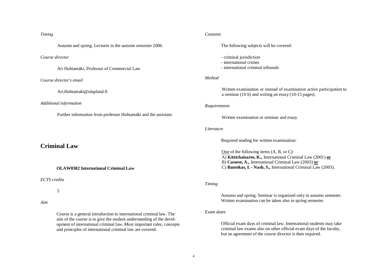# *Timing*

Autumn and spring. Lectures in the autumn semester 2006.

## *Course director*

Ari Huhtamäki, Professor of Commercial Law

## *Course director's email*

[Ari.Huhtamaki@ulapland.fi](mailto:Ari.Huhtamaki@ulapland.fi)

#### *Additional information*

Further information from professor Huhtamäki and the assistant.

# **Criminal Law**

#### **OLAW0302 International Criminal Law**

*ECTS credits*

5

# *Aim*

Course is a general introduction to international criminal law. The aim of the course is to give the student understanding of the development of international criminal law. Most important rules, concepts and principles of international criminal law are covered.

#### *Contents*

The following subjects will be covered:

- criminal jurisdiction
- international crimes
- international criminal tribunals

# *Method*

Written examination or instead of examination active participation to a seminar (10 h) and writing an essay (10-15 pages).

#### *Requirements*

Written examination or seminar and essay.

#### *Literature*

Required reading for written examination:

One of the following items (A, B, or C): A) **Kittichaisaree, K.,** International Criminal Law (2001) **or** B) **Cassese, A.,** International Criminal Law (2003) **or** C) **Bantekas, I. - Nash, S.,** International Criminal Law (2003).

# *Timing*

Autumn and spring. Seminar is organized only in autumn semester. Written examination can be taken also in spring semester.

### *Exam dates*

Official exam days of criminal law. International students may take criminal law exams also on other official exam days of the faculty, but an agreement of the course director is then required.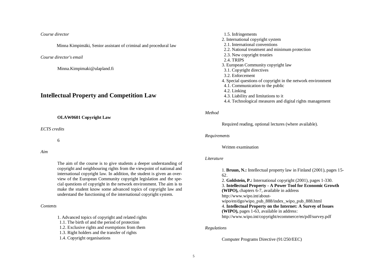#### *Course director*

Minna Kimpimäki, Senior assistant of criminal and procedural law

#### *Course director's email*

[Minna.Kimpimaki@ulapland.fi](mailto:Minna.Kimpimaki@ulapland.fi)

# **Intellectual Property and Competition Law**

#### **OLAW0601 Copyright Law**

*ECTS credits*

6

#### *Aim*

The aim of the course is to give students a deeper understanding of copyright and neighbouring rights from the viewpoint of national and international copyright law. In addition, the student is given an overview of the European Community copyright legislation and the special questions of copyright in the network environment. The aim is to make the student know some advanced topics of copyright law and understand the functioning of the international copyright system.

#### *Contents*

1. Advanced topics of copyright and related rights

- 1.1. The birth of and the period of protection
- 1.2. Exclusive rights and exemptions from them
- 1.3. Right holders and the transfer of rights
- 1.4. Copyright organisations
- 1.5. Infringements 2. International copyright system 2.1. International conventions 2.2. National treatment and minimum protection 2.3. New copyright treaties 2.4. TRIPS 3. European Community copyright law 3.1. Copyright directives 3.2. Enforcement 4. Special questions of copyright in the network environment 4.1. Communication to the public 4.2. Linking 4.3. Liability and limitations to it
	- 4.4. Technological measures and digital rights management

#### *Method*

Required reading, optional lectures (where available).

#### *Requirements*

#### Written examination

## *Literature*

1. **Bruun, N.:** Intellectual property law in Finland (2001), pages 15- 62. 2. **Goldstein, P.:** International copyright (2001), pages 1-330. 3. **Intellectual Property - A Power Tool for Economic Growth (WIPO),** chapters 6-7, available in address [http://www.wipo.int/about](http://www.wipo.int/about-)wipo/en/dgo/wipo\_pub\_888/index\_wipo\_pub\_888.html 4. **Intellectual Property on the Internet: A Survey of Issues (WIPO),** pages 1-63, available in address: <http://www.wipo.int/copyright/ecommerce/en/pdf/survey.pdf>

#### *Regulations*

Computer Programs Directive (91/250/EEC)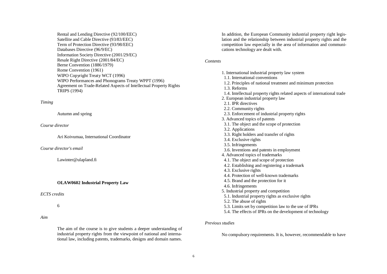Rental and Lending Directive (92/100/EEC) Satellite and Cable Directive (93/83/EEC) Term of Protection Directive (93/98/EEC) Databases Directive (96/9/EC) Information Society Directive (2001/29/EC) Resale Right Directive (2001/84/EC) Berne Convention (1886/1979) Rome Convention (1961) WIPO Copyright Treaty WCT (1996) WIPO Performances and Phonograms Treaty WPPT (1996) Agreement on Trade-Related Aspects of Intellectual Property Rights TRIPS (1994)

# *Timing*

Autumn and spring

# *Course director*

Ari Koivumaa, International Coordinator

*Course director's email*

[Lawinter@ulapland.fi](mailto:Lawinter@ulapland.fi)

# **OLAW0602 Industrial Property Law**

## *ECTS credits*

# 6

*Aim*

The aim of the course is to give students a deeper understanding of industrial property rights from the viewpoint of national and international law, including patents, trademarks, designs and domain names.

In addition, the European Community industrial property right legislation and the relationship between industrial property rights and the competition law especially in the area of information and communications technology are dealt with.

## *Contents*

1. International industrial property law system 1.1. International conventions 1.2. Principles of national treatment and minimum protection 1.3. Reforms 1.4. Intellectual property rights related aspects of international trade 2. European industrial property law 2.1. **IPR** directives 2.2. Community rights 2.3. Enforcement of industrial property rights 3. Advanced topics of patents 3.1. The object and the scope of protection 3.2. Applications 3.3. Right holders and transfer of rights 3.4. Exclusive rights 3.5. Infringements 3.6. Inventions and patents in employment 4. Advanced topics of trademarks 4.1. The object and scope of protection 4.2. Establishing and registering a trademark 4.3. Exclusive rights 4.4. Protection of well-known trademarks 4.5. Brand and the protection for it 4.6. Infringements 5. Industrial property and competition 5.1. Industrial property rights as exclusive rights 5.2. The abuse of rights 5.3. Limits set by competition law to the use of IPRs 5.4. The effects of IPRs on the development of technology

# *Previous studies*

No compulsory requirements. It is, however, recommendable to have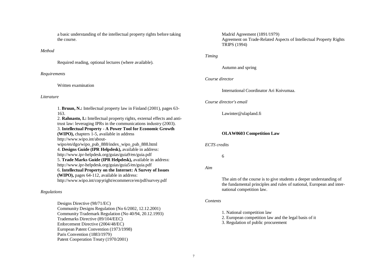a basic understanding of the intellectual property rights before taking the course.

*Method*

Required reading, optional lectures (where available).

*Requirements*

Written examination

#### *Literature*

1. **Bruun, N.:** Intellectual property law in Finland (2001), pages 63- 163. 2. **Rahnasto, I.:** Intellectual property rights, external effects and antitrust law: leveraging IPRs in the communications industry (2003). 3. **Intellectual Property - A Power Tool for Economic Growth (WIPO),** chapters 1-5, available in address [http://www.wipo.int/about](http://www.wipo.int/about-)wipo/en/dgo/wipo\_pub\_888/index\_wipo\_pub\_888.html 4. **Designs Guide (IPR Helpdesk),** available in address: <http://www.ipr-helpdesk.org/guias/guia9/en/guia.pdf> 5. **Trade Marks Guide (IPR Helpdesk),** available in address: <http://www.ipr-helpdesk.org/guias/guia5/en/guia.pdf> 6. **Intellectual Property on the Internet: A Survey of Issues (WIPO),** pages 64-112, available in address: <http://www.wipo.int/copyright/ecommerce/en/pdf/survey.pdf>

## *Regulations*

Designs Directive (98/71/EC) Community Designs Regulation (No 6/2002, 12.12.2001) Community Trademark Regulation (No 40/94, 20.12.1993) Trademarks Directive (89/104/EEC) Enforcement Directive (2004/48/EC) European Patent Convention (1973/1998) Paris Convention (1883/1979) Patent Cooperation Treaty (1970/2001)

Madrid Agreement (1891/1979) Agreement on Trade-Related Aspects of Intellectual Property Rights TRIPS (1994)

#### *Timing*

Autumn and spring

# *Course director*

International Coordinator Ari Koivumaa.

#### *Course director's email*

[Lawinter@ulapland.fi](mailto:Lawinter@ulapland.fi)

## **OLAW0603 Competition Law**

#### *ECTS credits*

6

*Aim*

The aim of the course is to give students a deeper understanding of the fundamental principles and rules of national, European and international competition law.

#### *Contents*

1. National competition law

- 2. European competition law and the legal basis of it
- 3. Regulation of public procurement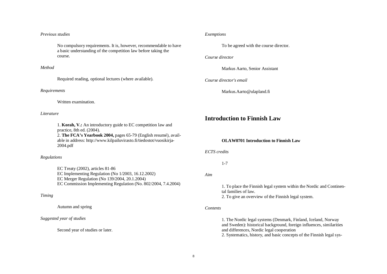#### *Previous studies*

No compulsory requirements. It is, however, recommendable to have a basic understanding of the competition law before taking the course.

#### *Method*

Required reading, optional lectures (where available).

#### *Requirements*

Written examination.

#### *Literature*

1. **Korah, V.:** An introductory guide to EC competition law and practice, 8th ed. (2004). 2. **The FCA's Yearbook 2004,** pages 65-79 (English resumé), available in address:<http://www.kilpailuvirasto.fi/tiedostot/vuosikirja->2004.pdf

## *Regulations*

EC Treaty (2002), articles 81-86 EC Implementing Regulation (No 1/2003, 16.12.2002) EC Merger Regulation (No 139/2004, 20.1.2004) EC Commission Implementing Regulation (No. 802/2004, 7.4.2004)

## *Timing*

Autumn and spring

# *Suggested year of studies*

Second year of studies or later.

## *Exemptions*

To be agreed with the course director.

#### *Course director*

Markus Aarto, Senior Assistant

*Course director's email*

[Markus.Aarto@ulapland.fi](mailto:Markus.Aarto@ulapland.fi)

# **Introduction to Finnish Law**

# **OLAW0701 Introduction to Finnish Law**

*ECTS credits*

1-7

*Aim*

1. To place the Finnish legal system within the Nordic and Continental families of law.

2. To give an overview of the Finnish legal system.

## *Contents*

1. The Nordic legal systems (Denmark, Finland, Iceland, Norway and Sweden): historical background, foreign influences, similarities and differences, Nordic legal cooperation

2. Systematics, history, and basic concepts of the Finnish legal sys-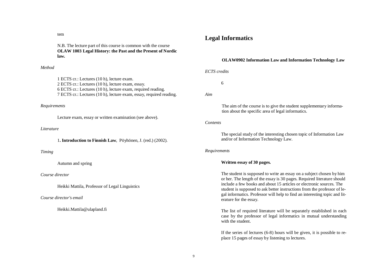tem

N.B. The lecture part of this course is common with the course **OLAW 1003 Legal History: the Past and the Present of Nordic law.**

# *Method*

1 ECTS cr.: Lectures (10 h), lecture exam. 2 ECTS cr.: Lectures (10 h), lecture exam, essay. 6 ECTS cr.: Lectures (10 h), lecture exam, required reading. 7 ECTS cr.: Lectures (10 h), lecture exam, essay, required reading.

#### *Requirements*

Lecture exam, essay or written examination (see above).

# *Literature*

1**. Introduction to Finnish Law**, Pöyhönen, J. (red.) (2002).

#### *Timing*

Autumn and spring

## *Course director*

Heikki Mattila, Professor of Legal Linguistics

*Course director's email*

[Heikki.Mattila@ulapland.fi](mailto:Heikki.Mattila@ulapland.fi)

# **Legal Informatics**

#### **OLAW0902 Information Law and Information Technology Law**

*ECTS credits*

6

*Aim*

The aim of the course is to give the student supplementary information about the specific area of legal informatics.

#### *Contents*

The special study of the interesting chosen topic of Information Law and/or of Information Technology Law.

#### *Requirements*

## **Written essay of 30 pages.**

The student is supposed to write an essay on a subject chosen by him or her. The length of the essay is 30 pages. Required literature should include a few books and about 15 articles or electronic sources. The student is supposed to ask better instructions from the professor of legal informatics. Professor will help to find an interesting topic and literature for the essay.

The list of required literature will be separately established in each case by the professor of legal informatics in mutual understanding with the student.

If the series of lectures (6-8) hours will be given, it is possible to replace 15 pages of essay by listening to lectures.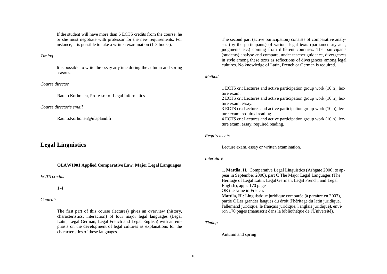If the student will have more than 6 ECTS credits from the course, he or she must negotiate with professor for the new requirements. For instance, it is possible to take a written examination (1-3 books).

#### *Timing*

It is possible to write the essay anytime during the autumn and spring seasons.

#### *Course director*

Rauno Korhonen, Professor of Legal Informatics

#### *Course director's email*

[Rauno.Korhonen@ulapland.fi](mailto:Rauno.Korhonen@ulapland.fi)

# **Legal Linguistics**

## **OLAW1001 Applied Comparative Law: Major Legal Languages**

## *ECTS credits*

# 1-4

## *Contents*

The first part of this course (lectures) gives an overview (history, characteristics, interaction) of four major legal languages (Legal Latin, Legal German, Legal French and Legal English) with an emphasis on the development of legal cultures as explanations for the characteristics of these languages.

The second part (active participation) consists of comparative analyses (by the participants) of various legal texts (parliamentary acts, judgments etc.) coming from different countries. The participants (students) analyse and compare, under teacher guidance, divergences in style among these texts as reflections of divergences among legal cultures. No knowledge of Latin, French or German is required.

#### *Method*

1 ECTS cr.: Lectures and active participation group work (10 h), lecture exam.

2 ECTS cr.: Lectures and active participation group work (10 h), lecture exam, essay.

3 ECTS cr.: Lectures and active participation group work (10 h), lecture exam, required reading.

4 ECTS cr.: Lectures and active participation group work (10 h), lecture exam, essay, required reading.

#### *Requirements*

Lecture exam, essay or written examination.

## *Literature*

1. **Mattila, H.**: Comparative Legal Linguistics (Ashgate 2006; to appear in September 2006), part C The Major Legal Languages (The Heritage of Legal Latin, Legal German, Legal French, and Legal English), appr. 170 pages.

OR the same in French:

**Mattila, H.**: Linguistique juridique comparée (à paraître en 2007), partie C Les grandes langues du droit (l'héritage du latin juridique, l'allemand juridique, le français juridique, l'anglais juridique), environ 170 pages (manuscrit dans la bibliothéque de l'Université).

*Timing*

Autumn and spring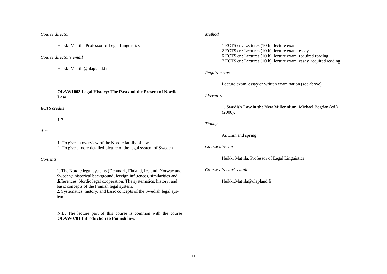*Course director*

Heikki Mattila, Professor of Legal Linguistics

*Course director's email*

[Heikki.Mattila@ulapland.fi](mailto:Heikki.Mattila@ulapland.fi)

**OLAW1003 Legal History: The Past and the Present of Nordic Law**

*ECTS credits*

1-7

#### *Aim*

1. To give an overview of the Nordic family of law.

2. To give a more detailed picture of the legal system of Sweden.

## *Contents*

1. The Nordic legal systems (Denmark, Finland, Iceland, Norway and Sweden): historical background, foreign influences, similarities and differences, Nordic legal cooperation. The systematics, history, and basic concepts of the Finnish legal system.

2. Systematics, history, and basic concepts of the Swedish legal system.

N.B. The lecture part of this course is common with the course **OLAW0701 Introduction to Finnish law**.

## *Method*

1 ECTS cr.: Lectures (10 h), lecture exam. 2 ECTS cr.: Lectures (10 h), lecture exam, essay. 6 ECTS cr.: Lectures (10 h), lecture exam, required reading. 7 ECTS cr.: Lectures (10 h), lecture exam, essay, required reading.

#### *Requirements*

Lecture exam, essay or written examination (see above).

#### *Literature*

1. **Swedish Law in the New Millennium**, Michael Bogdan (ed.) (2000).

#### *Timing*

Autumn and spring

## *Course director*

Heikki Mattila, Professor of Legal Linguistics

*Course director's email*

[Heikki.Mattila@ulapland.fi](mailto:Heikki.Mattila@ulapland.fi)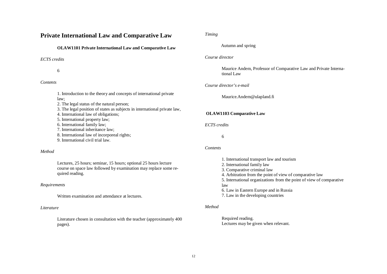# **Private International Law and Comparative Law**

#### **OLAW1101 Private International Law and Comparative Law**

#### *ECTS credits*

6

## *Contents*

1. Introduction to the theory and concepts of international private law; 2. The legal status of the natural person; 3. The legal position of states as subjects in international private law, 4. International law of obligations; 5. International property law; 6. International family law;

7. International inheritance law;

8. International law of incorporeal rights;

9. International civil trial law.

## *Method*

Lectures, 25 hours; seminar, 15 hours; optional 25 hours lecture course on space law followed by examination may replace some required reading.

#### *Requirements*

Written examination and attendance at lectures.

#### *Literature*

Literature chosen in consultation with the teacher (approximately 400 pages).

## *Timing*

### Autumn and spring

#### *Course director*

Maurice Andem, Professor of Comparative Law and Private International Law

#### *Course director's e-mail*

[Maurice.Andem@ulapland.fi](mailto:Maurice.Andem@ulapland.fi)

## **OLAW1103 Comparative Law**

*ECTS credits*

6

#### *Contents*

- 1. International transport law and tourism
- 2. International family law
- 3. Comparative criminal law
- 4. Arbitration from the point of view of comparative law
- 5. International organizations from the point of view of comparative law
- 6. Law in Eastern Europe and in Russia
- 7. Law in the developing countries

#### *Method*

Required reading. Lectures may be given when relevant.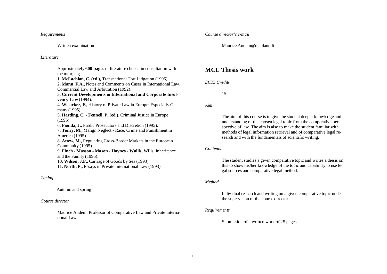*Requirements*

Written examination

#### *Literature*

Approximately **600 pages** of literature chosen in consultation with the tutor, e.g.

1. **McLachlan, C. (ed.),** Transnational Tort Litigation (1996).

2. **Mann, F.A.,** Notes and Comments on Cases in International Law, Commercial Law and Arbitration (1992).

3. **Current Developments in International and Corporate Insolvency Law** (1994).

4. **Wieacker, F.,** History of Private Law in Europe: Especially Germany (1995).

5. **Harding, C. - Fennell, P. (ed.),** Criminal Justice in Europe (1995).

6. **Fionda, J.,** Public Prosecutors and Discretion (1995).

7. **Tonry, M.,** Malign Neglect - Race, Crime and Punishment in America (1995).

8. **Attew, M.,** Regulating Cross-Border Markets in the European Community (1995).

9. **Finch - Masson - Mason - Haynes - Wallis,** Wills, Inheritance and the Family (1995).

10. **Wilson, J.F.,** Carriage of Goods by Sea (1993).

11. **North, P.,** Essays in Private International Law (1993).

# *Timing*

Autumn and spring

## *Course director*

Maurice Andem, Professor of Comparative Law and Private International Law

#### *Course director's e-mail*

[Maurice.Andem@ulapland.fi](mailto:Maurice.Andem@ulapland.fi)

# **MCL Thesis work**

# *ECTS Credits*

15

*Aim*

The aim of this course is to give the student deeper knowledge and understanding of the chosen legal topic from the comparative perspective of law. The aim is also to make the student familiar with methods of legal information retrieval and of comparative legal research and with the fundamentals of scientific writing.

# *Contents*

The student studies a given comparative topic and writes a thesis on this to show his/her knowledge of the topic and capability to use legal sources and comparative legal method.

# *Method*

Individual research and writing on a given comparative topic under the supervision of the course director.

## *Requirements*

Submission of a written work of 25 pages